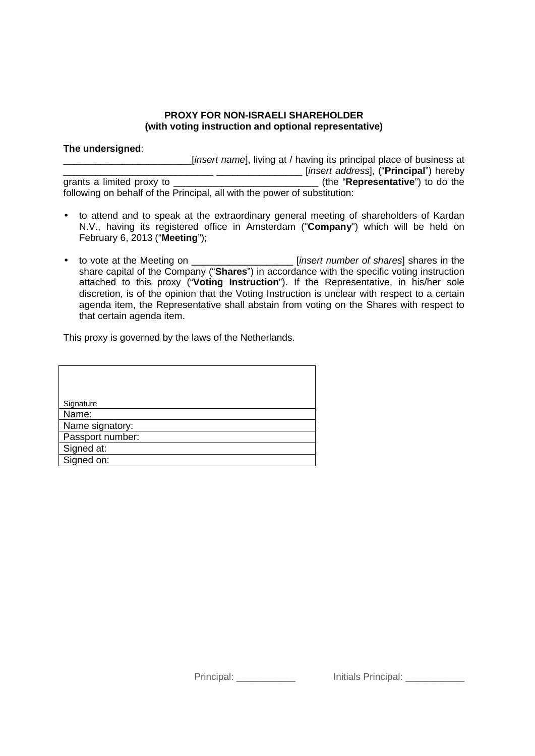## **PROXY FOR NON-ISRAELI SHAREHOLDER (with voting instruction and optional representative)**

## **The undersigned**:

\_\_\_\_\_\_\_\_\_\_\_\_\_\_\_\_\_\_\_\_\_\_\_\_[*insert name*], living at / having its principal place of business at The set and the set of the "**Representative**") hereby grants a limited proxy to **the "Representative**") to do the grants (the "**Representative**") to do the following on behalf of the Principal, all with the power of substitution:

- to attend and to speak at the extraordinary general meeting of shareholders of Kardan N.V., having its registered office in Amsterdam ("**Company**") which will be held on February 6, 2013 ("**Meeting**");
- to vote at the Meeting on \_\_\_\_\_\_\_\_\_\_\_\_\_\_\_\_\_\_\_ [*insert number of shares*] shares in the share capital of the Company ("**Shares**") in accordance with the specific voting instruction attached to this proxy ("**Voting Instruction**"). If the Representative, in his/her sole discretion, is of the opinion that the Voting Instruction is unclear with respect to a certain agenda item, the Representative shall abstain from voting on the Shares with respect to that certain agenda item.

This proxy is governed by the laws of the Netherlands.

| Signature        |
|------------------|
| Name:            |
| Name signatory:  |
| Passport number: |
| Signed at:       |
| Signed on:       |

Principal: **Example 2018** Initials Principal: